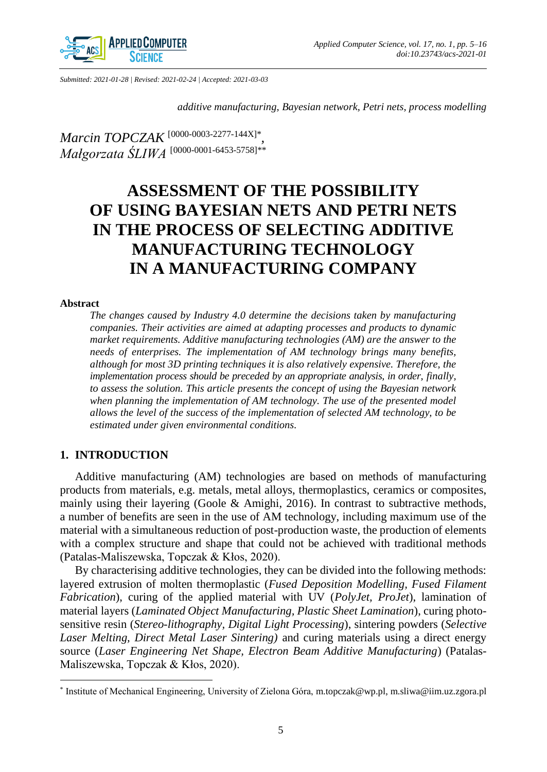

*Submitted: 2021-01-28 | Revised: 2021-02-24 | Accepted: 2021-03-03*

*additive manufacturing, Bayesian network, Petri nets, process modelling* 

*Marcin TOPCZAK* [\[0000-0003-2277-144X\]](https://orcid.org/0000-0003-2277-144X)\* *, Małgorzata ŚLIWA* [\[0000-0001-6453-5758\]](https://orcid.org/0000-0001-6453-5758)\*\*

# **ASSESSMENT OF THE POSSIBILITY OF USING BAYESIAN NETS AND PETRI NETS IN THE PROCESS OF SELECTING ADDITIVE MANUFACTURING TECHNOLOGY IN A MANUFACTURING COMPANY**

## **Abstract**

 $\overline{\phantom{a}}$ 

*The changes caused by Industry 4.0 determine the decisions taken by manufacturing companies. Their activities are aimed at adapting processes and products to dynamic market requirements. Additive manufacturing technologies (AM) are the answer to the needs of enterprises. The implementation of AM technology brings many benefits, although for most 3D printing techniques it is also relatively expensive. Therefore, the implementation process should be preceded by an appropriate analysis, in order, finally, to assess the solution. This article presents the concept of using the Bayesian network*  when planning the implementation of AM technology. The use of the presented model *allows the level of the success of the implementation of selected AM technology, to be estimated under given environmental conditions.*

# **1. INTRODUCTION**

Additive manufacturing (AM) technologies are based on methods of manufacturing products from materials, e.g. metals, metal alloys, thermoplastics, ceramics or composites, mainly using their layering (Goole & Amighi, 2016). In contrast to subtractive methods, a number of benefits are seen in the use of AM technology, including maximum use of the material with a simultaneous reduction of post-production waste, the production of elements with a complex structure and shape that could not be achieved with traditional methods (Patalas-Maliszewska, Topczak & Kłos, 2020).

By characterising additive technologies, they can be divided into the following methods: layered extrusion of molten thermoplastic (*Fused Deposition Modelling, Fused Filament Fabrication*), curing of the applied material with UV (*PolyJet, ProJet*), lamination of material layers (*Laminated Object Manufacturing, Plastic Sheet Lamination*), curing photosensitive resin (*Stereo-lithography, Digital Light Processing*), sintering powders (*Selective Laser Melting, Direct Metal Laser Sintering)* and curing materials using a direct energy source (*Laser Engineering Net Shape, Electron Beam Additive Manufacturing*) (Patalas-Maliszewska, Topczak & Kłos, 2020).

<sup>\*</sup> Institute of Mechanical Engineering, University of Zielona Góra, m.topczak@wp.pl, m.sliwa@iim.uz.zgora.pl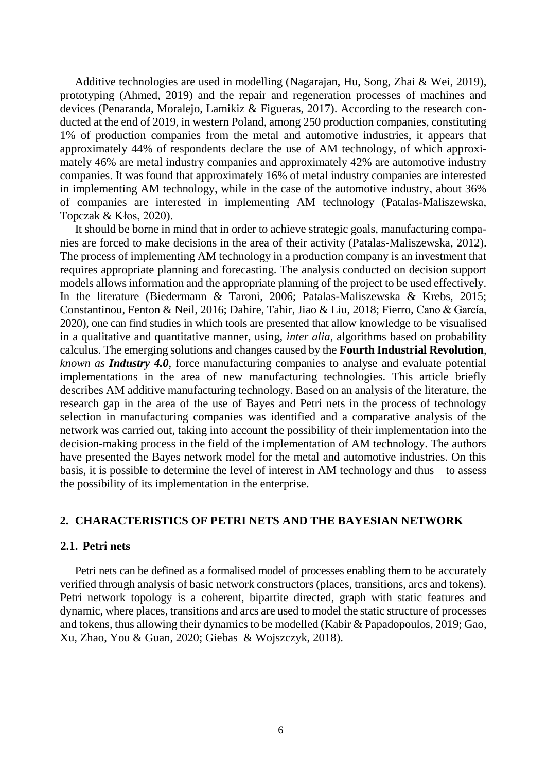Additive technologies are used in modelling (Nagarajan, Hu, Song, Zhai & Wei, 2019), prototyping (Ahmed, 2019) and the repair and regeneration processes of machines and devices (Penaranda, Moralejo, Lamikiz & Figueras, 2017). According to the research conducted at the end of 2019, in western Poland, among 250 production companies, constituting 1% of production companies from the metal and automotive industries, it appears that approximately 44% of respondents declare the use of AM technology, of which approximately 46% are metal industry companies and approximately 42% are automotive industry companies. It was found that approximately 16% of metal industry companies are interested in implementing AM technology, while in the case of the automotive industry, about 36% of companies are interested in implementing AM technology (Patalas-Maliszewska, Topczak & Kłos, 2020).

It should be borne in mind that in order to achieve strategic goals, manufacturing companies are forced to make decisions in the area of their activity (Patalas-Maliszewska, 2012). The process of implementing AM technology in a production company is an investment that requires appropriate planning and forecasting. The analysis conducted on decision support models allows information and the appropriate planning of the project to be used effectively. In the literature (Biedermann & Taroni, 2006; Patalas-Maliszewska & Krebs, 2015; Constantinou, Fenton & Neil, 2016; Dahire, Tahir, Jiao & Liu, 2018; Fierro, Cano & García, 2020), one can find studies in which tools are presented that allow knowledge to be visualised in a qualitative and quantitative manner, using, *inter alia*, algorithms based on probability calculus. The emerging solutions and changes caused by the **Fourth Industrial Revolution**, *known as Industry 4.0*, force manufacturing companies to analyse and evaluate potential implementations in the area of new manufacturing technologies. This article briefly describes AM additive manufacturing technology. Based on an analysis of the literature, the research gap in the area of the use of Bayes and Petri nets in the process of technology selection in manufacturing companies was identified and a comparative analysis of the network was carried out, taking into account the possibility of their implementation into the decision-making process in the field of the implementation of AM technology. The authors have presented the Bayes network model for the metal and automotive industries. On this basis, it is possible to determine the level of interest in AM technology and thus – to assess the possibility of its implementation in the enterprise.

# **2. CHARACTERISTICS OF PETRI NETS AND THE BAYESIAN NETWORK**

## **2.1. Petri nets**

Petri nets can be defined as a formalised model of processes enabling them to be accurately verified through analysis of basic network constructors (places, transitions, arcs and tokens). Petri network topology is a coherent, bipartite directed, graph with static features and dynamic, where places, transitions and arcs are used to model the static structure of processes and tokens, thus allowing their dynamics to be modelled (Kabir & Papadopoulos, 2019; Gao, Xu, Zhao, You & Guan, 2020; Giebas & Wojszczyk, 2018).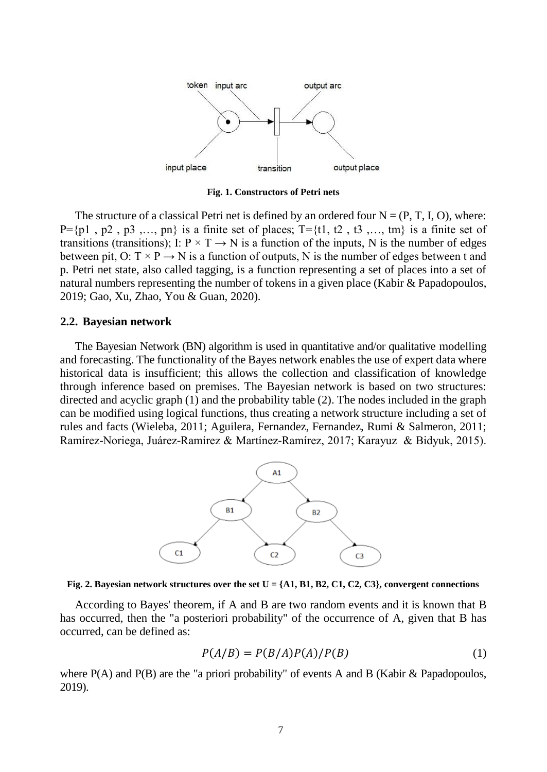

**Fig. 1. Constructors of Petri nets**

The structure of a classical Petri net is defined by an ordered four  $N = (P, T, I, O)$ , where:  $P=\{p1, p2, p3, \ldots, pn\}$  is a finite set of places;  $T=\{1, t2, t3, \ldots, tm\}$  is a finite set of transitions (transitions); I:  $P \times T \rightarrow N$  is a function of the inputs, N is the number of edges between pit, O:  $T \times P \rightarrow N$  is a function of outputs, N is the number of edges between t and p. Petri net state, also called tagging, is a function representing a set of places into a set of natural numbers representing the number of tokens in a given place (Kabir & Papadopoulos, 2019; Gao, Xu, Zhao, You & Guan, 2020).

#### **2.2. Bayesian network**

The Bayesian Network (BN) algorithm is used in quantitative and/or qualitative modelling and forecasting. The functionality of the Bayes network enables the use of expert data where historical data is insufficient; this allows the collection and classification of knowledge through inference based on premises. The Bayesian network is based on two structures: directed and acyclic graph (1) and the probability table (2). The nodes included in the graph can be modified using logical functions, thus creating a network structure including a set of rules and facts (Wieleba, 2011; Aguilera, Fernandez, Fernandez, Rumi & Salmeron, 2011; Ramírez-Noriega, Juárez-Ramírez & Martínez-Ramírez, 2017; Karayuz & Bidyuk, 2015).



Fig. 2. Bayesian network structures over the set  $U = \{A1, B1, B2, C1, C2, C3\}$ , convergent connections

According to Bayes' theorem, if A and B are two random events and it is known that B has occurred, then the "a posteriori probability" of the occurrence of A, given that B has occurred, can be defined as:

$$
P(A/B) = P(B/A)P(A)/P(B)
$$
\n(1)

where  $P(A)$  and  $P(B)$  are the "a priori probability" of events A and B (Kabir & Papadopoulos, 2019).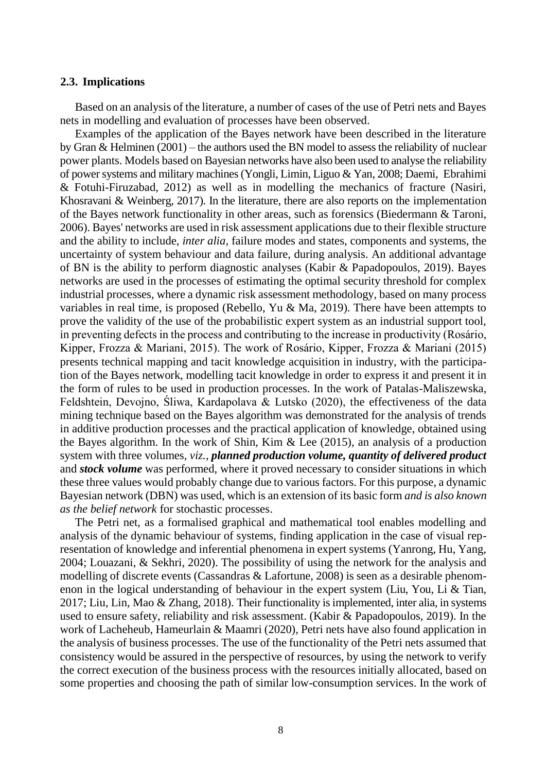#### **2.3. Implications**

Based on an analysis of the literature, a number of cases of the use of Petri nets and Bayes nets in modelling and evaluation of processes have been observed.

Examples of the application of the Bayes network have been described in the literature by Gran & Helminen (2001) – the authors used the BN model to assess the reliability of nuclear power plants. Models based on Bayesian networks have also been used to analyse the reliability of power systems and military machines (Yongli, Limin, Liguo & Yan, 2008; Daemi, Ebrahimi & Fotuhi-Firuzabad, 2012) as well as in modelling the mechanics of fracture (Nasiri, Khosravani & Weinberg, 2017). In the literature, there are also reports on the implementation of the Bayes network functionality in other areas, such as forensics (Biedermann & Taroni, 2006). Bayes' networks are used in risk assessment applications due to their flexible structure and the ability to include, *inter alia*, failure modes and states, components and systems, the uncertainty of system behaviour and data failure, during analysis. An additional advantage of BN is the ability to perform diagnostic analyses (Kabir & Papadopoulos, 2019). Bayes networks are used in the processes of estimating the optimal security threshold for complex industrial processes, where a dynamic risk assessment methodology, based on many process variables in real time, is proposed (Rebello, Yu & Ma, 2019). There have been attempts to prove the validity of the use of the probabilistic expert system as an industrial support tool, in preventing defects in the process and contributing to the increase in productivity (Rosário, Kipper, Frozza & Mariani, 2015). The work of Rosário, Kipper, Frozza & Mariani (2015) presents technical mapping and tacit knowledge acquisition in industry, with the participation of the Bayes network, modelling tacit knowledge in order to express it and present it in the form of rules to be used in production processes. In the work of Patalas-Maliszewska, Feldshtein, Devojno, Śliwa, Kardapolava & Lutsko (2020), the effectiveness of the data mining technique based on the Bayes algorithm was demonstrated for the analysis of trends in additive production processes and the practical application of knowledge, obtained using the Bayes algorithm. In the work of Shin, Kim  $\&$  Lee (2015), an analysis of a production system with three volumes, *viz.*, *planned production volume, quantity of delivered product* and *stock volume* was performed, where it proved necessary to consider situations in which these three values would probably change due to various factors. For this purpose, a dynamic Bayesian network (DBN) was used, which is an extension of its basic form *and is also known as the belief network* for stochastic processes.

The Petri net, as a formalised graphical and mathematical tool enables modelling and analysis of the dynamic behaviour of systems, finding application in the case of visual representation of knowledge and inferential phenomena in expert systems (Yanrong, Hu, Yang, 2004; Louazani, & Sekhri, 2020). The possibility of using the network for the analysis and modelling of discrete events (Cassandras & Lafortune, 2008) is seen as a desirable phenomenon in the logical understanding of behaviour in the expert system (Liu, You, Li & Tian, 2017; Liu, Lin, Mao & Zhang, 2018). Their functionality is implemented, inter alia, in systems used to ensure safety, reliability and risk assessment. (Kabir & Papadopoulos, 2019). In the work of Lacheheub, Hameurlain & Maamri (2020), Petri nets have also found application in the analysis of business processes. The use of the functionality of the Petri nets assumed that consistency would be assured in the perspective of resources, by using the network to verify the correct execution of the business process with the resources initially allocated, based on some properties and choosing the path of similar low-consumption services. In the work of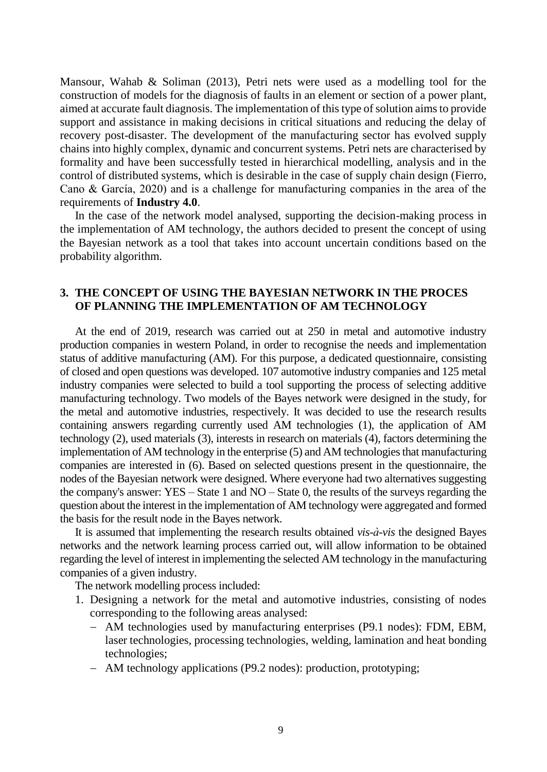Mansour, Wahab & Soliman (2013), Petri nets were used as a modelling tool for the construction of models for the diagnosis of faults in an element or section of a power plant, aimed at accurate fault diagnosis. The implementation of this type of solution aims to provide support and assistance in making decisions in critical situations and reducing the delay of recovery post-disaster. The development of the manufacturing sector has evolved supply chains into highly complex, dynamic and concurrent systems. Petri nets are characterised by formality and have been successfully tested in hierarchical modelling, analysis and in the control of distributed systems, which is desirable in the case of supply chain design (Fierro, Cano & García, 2020) and is a challenge for manufacturing companies in the area of the requirements of **Industry 4.0**.

In the case of the network model analysed, supporting the decision-making process in the implementation of AM technology, the authors decided to present the concept of using the Bayesian network as a tool that takes into account uncertain conditions based on the probability algorithm.

# **3. THE CONCEPT OF USING THE BAYESIAN NETWORK IN THE PROCES OF PLANNING THE IMPLEMENTATION OF AM TECHNOLOGY**

At the end of 2019, research was carried out at 250 in metal and automotive industry production companies in western Poland, in order to recognise the needs and implementation status of additive manufacturing (AM). For this purpose, a dedicated questionnaire, consisting of closed and open questions was developed. 107 automotive industry companies and 125 metal industry companies were selected to build a tool supporting the process of selecting additive manufacturing technology. Two models of the Bayes network were designed in the study, for the metal and automotive industries, respectively. It was decided to use the research results containing answers regarding currently used AM technologies (1), the application of AM technology (2), used materials (3), interests in research on materials (4), factors determining the implementation of AM technology in the enterprise (5) and AM technologies that manufacturing companies are interested in (6). Based on selected questions present in the questionnaire, the nodes of the Bayesian network were designed. Where everyone had two alternatives suggesting the company's answer: YES – State 1 and NO – State 0, the results of the surveys regarding the question about the interest in the implementation of AM technology were aggregated and formed the basis for the result node in the Bayes network.

It is assumed that implementing the research results obtained *vis-à-vis* the designed Bayes networks and the network learning process carried out, will allow information to be obtained regarding the level of interest in implementing the selected AM technology in the manufacturing companies of a given industry.

The network modelling process included:

- 1. Designing a network for the metal and automotive industries, consisting of nodes corresponding to the following areas analysed:
	- AM technologies used by manufacturing enterprises (P9.1 nodes): FDM, EBM, laser technologies, processing technologies, welding, lamination and heat bonding technologies;
	- AM technology applications (P9.2 nodes): production, prototyping;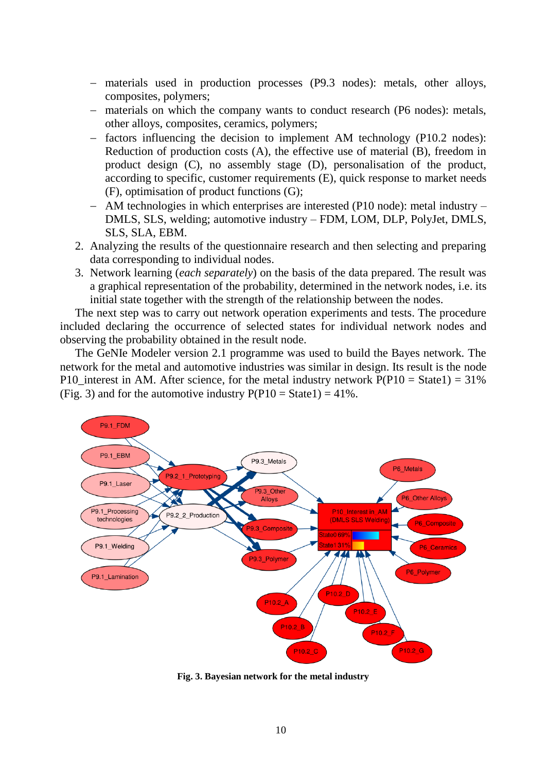- materials used in production processes (P9.3 nodes): metals, other alloys, composites, polymers;
- materials on which the company wants to conduct research (P6 nodes): metals, other alloys, composites, ceramics, polymers;
- $\overline{\phantom{a}}$  factors influencing the decision to implement AM technology (P10.2 nodes): Reduction of production costs (A), the effective use of material (B), freedom in product design (C), no assembly stage (D), personalisation of the product, according to specific, customer requirements (E), quick response to market needs (F), optimisation of product functions (G);
- AM technologies in which enterprises are interested (P10 node): metal industry DMLS, SLS, welding; automotive industry – FDM, LOM, DLP, PolyJet, DMLS, SLS, SLA, EBM.
- 2. Analyzing the results of the questionnaire research and then selecting and preparing data corresponding to individual nodes.
- 3. Network learning (*each separately*) on the basis of the data prepared. The result was a graphical representation of the probability, determined in the network nodes, i.e. its initial state together with the strength of the relationship between the nodes.

The next step was to carry out network operation experiments and tests. The procedure included declaring the occurrence of selected states for individual network nodes and observing the probability obtained in the result node.

The GeNIe Modeler version 2.1 programme was used to build the Bayes network. The network for the metal and automotive industries was similar in design. Its result is the node P10\_interest in AM. After science, for the metal industry network  $P(P10 = State1) = 31\%$ (Fig. 3) and for the automotive industry  $P(P10 = State1) = 41\%$ .



**Fig. 3. Bayesian network for the metal industry**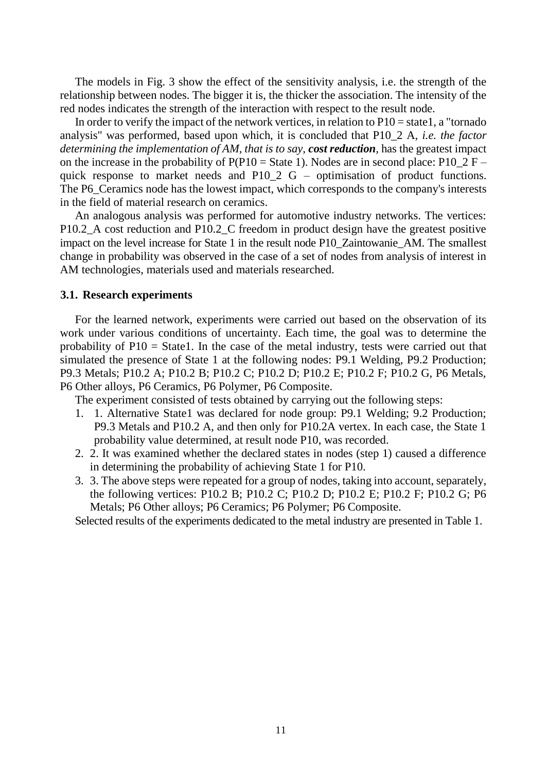The models in Fig. 3 show the effect of the sensitivity analysis, i.e. the strength of the relationship between nodes. The bigger it is, the thicker the association. The intensity of the red nodes indicates the strength of the interaction with respect to the result node.

In order to verify the impact of the network vertices, in relation to  $P10 =$  state1, a "tornado" analysis" was performed, based upon which, it is concluded that P10\_2 A, *i.e. the factor determining the implementation of AM, that is to say, cost reduction,* has the greatest impact on the increase in the probability of  $P(P10 = State 1)$ . Nodes are in second place:  $P10_2 F$ quick response to market needs and  $P10_2 G -$  optimisation of product functions. The P6\_Ceramics node has the lowest impact, which corresponds to the company's interests in the field of material research on ceramics.

An analogous analysis was performed for automotive industry networks. The vertices: P10.2<sub>\_</sub>A cost reduction and P10.2<sub>\_</sub>C freedom in product design have the greatest positive impact on the level increase for State 1 in the result node P10\_Zaintowanie\_AM. The smallest change in probability was observed in the case of a set of nodes from analysis of interest in AM technologies, materials used and materials researched.

## **3.1. Research experiments**

For the learned network, experiments were carried out based on the observation of its work under various conditions of uncertainty. Each time, the goal was to determine the probability of P10 = State1. In the case of the metal industry, tests were carried out that simulated the presence of State 1 at the following nodes: P9.1 Welding, P9.2 Production; P9.3 Metals; P10.2 A; P10.2 B; P10.2 C; P10.2 D; P10.2 E; P10.2 F; P10.2 G, P6 Metals, P6 Other alloys, P6 Ceramics, P6 Polymer, P6 Composite.

The experiment consisted of tests obtained by carrying out the following steps:

- 1. 1. Alternative State1 was declared for node group: P9.1 Welding; 9.2 Production; P9.3 Metals and P10.2 A, and then only for P10.2A vertex. In each case, the State 1 probability value determined, at result node P10, was recorded.
- 2. 2. It was examined whether the declared states in nodes (step 1) caused a difference in determining the probability of achieving State 1 for P10.
- 3. 3. The above steps were repeated for a group of nodes, taking into account, separately, the following vertices: P10.2 B; P10.2 C; P10.2 D; P10.2 E; P10.2 F; P10.2 G; P6 Metals; P6 Other alloys; P6 Ceramics; P6 Polymer; P6 Composite.

Selected results of the experiments dedicated to the metal industry are presented in Table 1.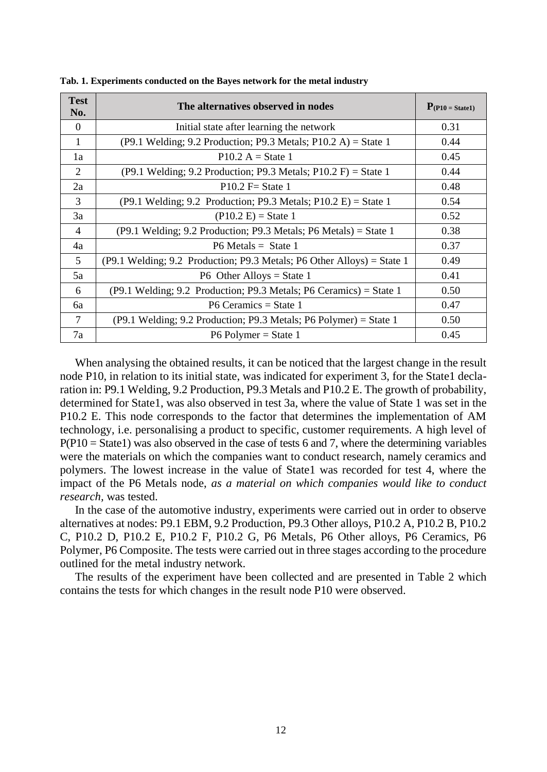| <b>Test</b><br>No. | The alternatives observed in nodes                                                                               | $P(P10 = State1)$ |
|--------------------|------------------------------------------------------------------------------------------------------------------|-------------------|
| $\Omega$           | Initial state after learning the network                                                                         | 0.31              |
| 1                  | $(P9.1 \text{ Welding}; 9.2 \text{ Production}; P9.3 \text{ Metals}; P10.2 \text{ A}) = \text{State } 1$         | 0.44              |
| 1a                 | $P10.2 A = State 1$                                                                                              | 0.45              |
| 2                  | $(P9.1 \text{ Welding}; 9.2 \text{ Production}; P9.3 \text{ Metals}; P10.2 \text{ F}) = \text{State } 1$         | 0.44              |
| 2a                 | $P10.2$ F $State 1$                                                                                              | 0.48              |
| 3                  | $(P9.1 \text{ Welding}; 9.2 \text{ Production}; P9.3 \text{ Metals}; P10.2 \text{ E}) = \text{State } 1$         | 0.54              |
| 3a                 | $(P10.2 E) =$ State 1                                                                                            | 0.52              |
| $\overline{4}$     | $(P9.1 \text{ Welding}; 9.2 \text{ Production}; P9.3 \text{ Metals}; P6 \text{ Metals}) = \text{State } 1$       | 0.38              |
| 4a                 | $P6$ Metals = State 1                                                                                            | 0.37              |
| 5                  | $(P9.1 \text{ Welding}; 9.2 \text{ Production}; P9.3 \text{ Metals}; P6 \text{ Other Alloys}) = \text{State } 1$ | 0.49              |
| 5a                 | $P6$ Other Alloys = State 1                                                                                      | 0.41              |
| 6                  | (P9.1 Welding; 9.2 Production; P9.3 Metals; P6 Ceramics) = State 1                                               | 0.50              |
| 6a                 | $P6$ Ceramics = State 1                                                                                          | 0.47              |
| 7                  | (P9.1 Welding; 9.2 Production; P9.3 Metals; P6 Polymer) = State 1                                                | 0.50              |
| 7a                 | $P6$ Polymer = State 1                                                                                           | 0.45              |

**Tab. 1. Experiments conducted on the Bayes network for the metal industry**

When analysing the obtained results, it can be noticed that the largest change in the result node P10, in relation to its initial state, was indicated for experiment 3, for the State1 declaration in: P9.1 Welding, 9.2 Production, P9.3 Metals and P10.2 E. The growth of probability, determined for State1, was also observed in test 3a, where the value of State 1 was set in the P10.2 E. This node corresponds to the factor that determines the implementation of AM technology, i.e. personalising a product to specific, customer requirements. A high level of  $P(P10 = State1)$  was also observed in the case of tests 6 and 7, where the determining variables were the materials on which the companies want to conduct research, namely ceramics and polymers. The lowest increase in the value of State1 was recorded for test 4, where the impact of the P6 Metals node, *as a material on which companies would like to conduct research,* was tested.

In the case of the automotive industry, experiments were carried out in order to observe alternatives at nodes: P9.1 EBM, 9.2 Production, P9.3 Other alloys, P10.2 A, P10.2 B, P10.2 C, P10.2 D, P10.2 E, P10.2 F, P10.2 G, P6 Metals, P6 Other alloys, P6 Ceramics, P6 Polymer, P6 Composite. The tests were carried out in three stages according to the procedure outlined for the metal industry network.

The results of the experiment have been collected and are presented in Table 2 which contains the tests for which changes in the result node P10 were observed.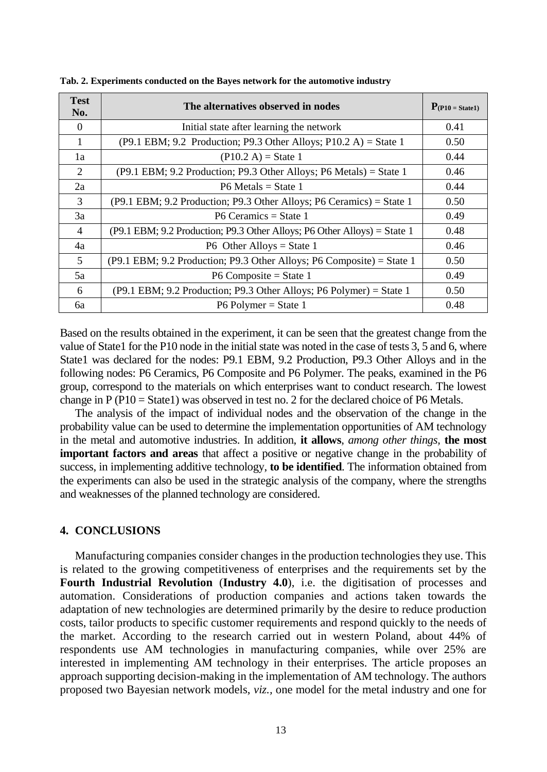| <b>Test</b><br>No. | The alternatives observed in nodes                                          | $P_{(P10 = State1)}$ |
|--------------------|-----------------------------------------------------------------------------|----------------------|
| $\theta$           | Initial state after learning the network                                    | 0.41                 |
| 1                  | $( P9.1$ EBM; 9.2 Production; P9.3 Other Alloys; P10.2 A) = State 1         | 0.50                 |
| 1a                 | $(P10.2 A) = State 1$                                                       | 0.44                 |
| $\mathfrak{D}$     | (P9.1 EBM; 9.2 Production; P9.3 Other Alloys; P6 Metals) = State 1          | 0.46                 |
| 2a                 | $P6$ Metals = State 1                                                       | 0.44                 |
| 3                  | $( P9.1$ EBM; 9.2 Production; P9.3 Other Alloys; P6 Ceramics) = State 1     | 0.50                 |
| 3a                 | $P6$ Ceramics = State 1                                                     | 0.49                 |
| 4                  | $( P9.1$ EBM; 9.2 Production; P9.3 Other Alloys; P6 Other Alloys) = State 1 | 0.48                 |
| 4a                 | P6 Other Alloys = State 1                                                   | 0.46                 |
| 5                  | $( P9.1$ EBM; 9.2 Production; P9.3 Other Alloys; P6 Composite) = State 1    | 0.50                 |
| 5a                 | P6 Composite = State 1                                                      | 0.49                 |
| 6                  | $( P9.1$ EBM; 9.2 Production; P9.3 Other Alloys; P6 Polymer) = State 1      | 0.50                 |
| 6a                 | $P6$ Polymer = State 1                                                      | 0.48                 |

**Tab. 2. Experiments conducted on the Bayes network for the automotive industry**

Based on the results obtained in the experiment, it can be seen that the greatest change from the value of State1 for the P10 node in the initial state was noted in the case of tests 3, 5 and 6, where State1 was declared for the nodes: P9.1 EBM, 9.2 Production, P9.3 Other Alloys and in the following nodes: P6 Ceramics, P6 Composite and P6 Polymer. The peaks, examined in the P6 group, correspond to the materials on which enterprises want to conduct research. The lowest change in P (P10 = State1) was observed in test no. 2 for the declared choice of P6 Metals.

The analysis of the impact of individual nodes and the observation of the change in the probability value can be used to determine the implementation opportunities of AM technology in the metal and automotive industries. In addition, **it allows**, *among other things,* **the most important factors and areas** that affect a positive or negative change in the probability of success, in implementing additive technology, **to be identified**. The information obtained from the experiments can also be used in the strategic analysis of the company, where the strengths and weaknesses of the planned technology are considered.

## **4. CONCLUSIONS**

Manufacturing companies consider changes in the production technologies they use. This is related to the growing competitiveness of enterprises and the requirements set by the **Fourth Industrial Revolution** (**Industry 4.0**), i.e. the digitisation of processes and automation. Considerations of production companies and actions taken towards the adaptation of new technologies are determined primarily by the desire to reduce production costs, tailor products to specific customer requirements and respond quickly to the needs of the market. According to the research carried out in western Poland, about 44% of respondents use AM technologies in manufacturing companies, while over 25% are interested in implementing AM technology in their enterprises. The article proposes an approach supporting decision-making in the implementation of AM technology. The authors proposed two Bayesian network models, *viz.,* one model for the metal industry and one for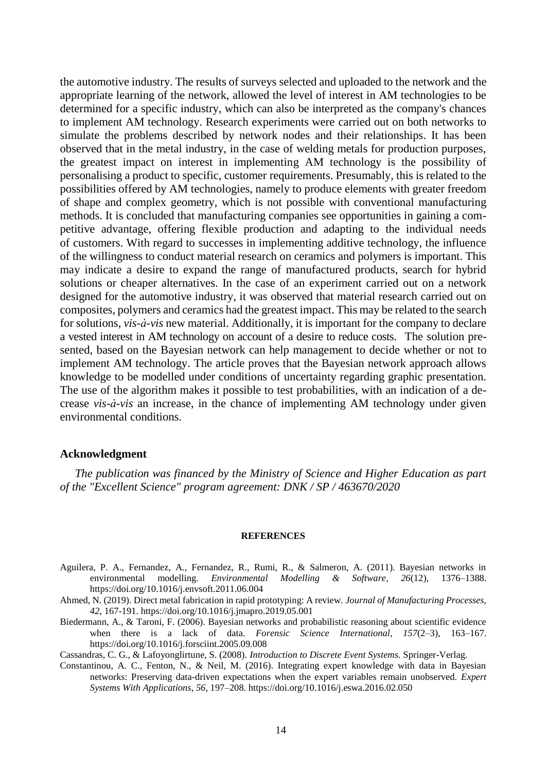the automotive industry. The results of surveys selected and uploaded to the network and the appropriate learning of the network, allowed the level of interest in AM technologies to be determined for a specific industry, which can also be interpreted as the company's chances to implement AM technology. Research experiments were carried out on both networks to simulate the problems described by network nodes and their relationships. It has been observed that in the metal industry, in the case of welding metals for production purposes, the greatest impact on interest in implementing AM technology is the possibility of personalising a product to specific, customer requirements. Presumably, this is related to the possibilities offered by AM technologies, namely to produce elements with greater freedom of shape and complex geometry, which is not possible with conventional manufacturing methods. It is concluded that manufacturing companies see opportunities in gaining a competitive advantage, offering flexible production and adapting to the individual needs of customers. With regard to successes in implementing additive technology, the influence of the willingness to conduct material research on ceramics and polymers is important. This may indicate a desire to expand the range of manufactured products, search for hybrid solutions or cheaper alternatives. In the case of an experiment carried out on a network designed for the automotive industry, it was observed that material research carried out on composites, polymers and ceramics had the greatest impact. This may be related to the search for solutions, *vis-à-vis* new material. Additionally, it is important for the company to declare a vested interest in AM technology on account of a desire to reduce costs. The solution presented, based on the Bayesian network can help management to decide whether or not to implement AM technology. The article proves that the Bayesian network approach allows knowledge to be modelled under conditions of uncertainty regarding graphic presentation. The use of the algorithm makes it possible to test probabilities, with an indication of a decrease *vis-à-vis* an increase, in the chance of implementing AM technology under given environmental conditions.

#### **Acknowledgment**

*The publication was financed by the Ministry of Science and Higher Education as part of the "Excellent Science" program agreement: DNK / SP / 463670/2020*

#### **REFERENCES**

- Aguilera, P. A., Fernandez, A., Fernandez, R., Rumi, R., & Salmeron, A. (2011). Bayesian networks in environmental modelling*. Environmental Modelling & Software*, *26*(12), 1376–1388. https://doi.org/10.1016/j.envsoft.2011.06.004
- Ahmed, N. (2019). Direct metal fabrication in rapid prototyping: A review. *Journal of Manufacturing Processes, 42*, 167-191. https://doi.org/10.1016/j.jmapro.2019.05.001
- Biedermann, A., & Taroni, F. (2006). Bayesian networks and probabilistic reasoning about scientific evidence when there is a lack of data. *Forensic Science International*, *157*(2–3), 163–167. https://doi.org/10.1016/j.forsciint.2005.09.008
- Cassandras, C. G., & Lafoyonglirtune, S. (2008). *Introduction to Discrete Event Systems.* Springer-Verlag.
- Constantinou, A. C., Fenton, N., & Neil, M. (2016). Integrating expert knowledge with data in Bayesian networks: Preserving data-driven expectations when the expert variables remain unobserved. *Expert Systems With Applications*, *56*, 197–208. https://doi.org/10.1016/j.eswa.2016.02.050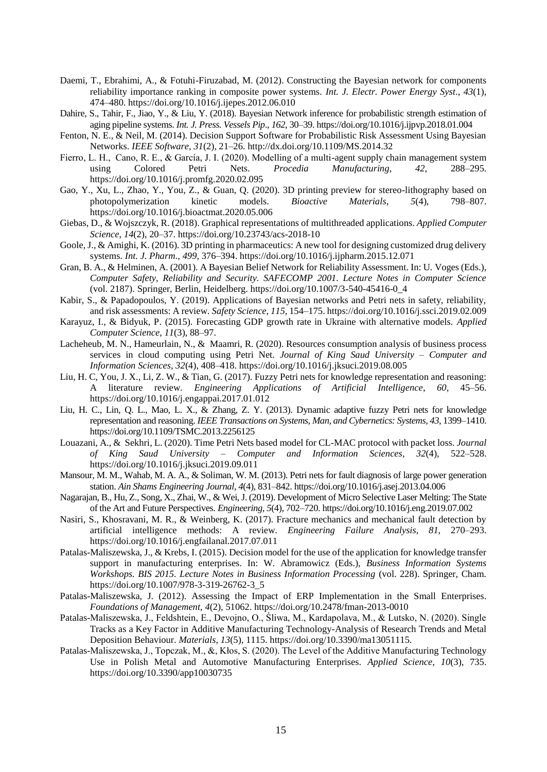- Daemi, T., Ebrahimi, A., & Fotuhi-Firuzabad, M. (2012). Constructing the Bayesian network for components reliability importance ranking in composite power systems. *Int. J. Electr. Power Energy Syst*., *43*(1), 474–480. https://doi.org/10.1016/j.ijepes.2012.06.010
- Dahire, S., Tahir, F., Jiao, Y., & Liu, Y. (2018). Bayesian Network inference for probabilistic strength estimation of aging pipeline systems. *Int. J. Press. Vessels Pip*., *162*, 30–39. https://doi.org/10.1016/j.ijpvp.2018.01.004
- Fenton, N. E., & Neil, M. (2014). Decision Support Software for Probabilistic Risk Assessment Using Bayesian Networks. *IEEE Software*, *31*(2), 21–26. http://dx.doi.org/10.1109/MS.2014.32
- Fierro, L. H., Cano, R. E., & García, J. I. (2020). Modelling of a multi-agent supply chain management system using Colored Petri Nets. *Procedia Manufacturing*, *42*, 288–295. https://doi.org/10.1016/j.promfg.2020.02.095
- Gao, Y., Xu, L., Zhao, Y., You, Z., & Guan, Q. (2020). 3D printing preview for stereo-lithography based on photopolymerization kinetic models. *Bioactive Materials.* 5(4). 798–807. photopolymerization kinetic models. *Bioactive Materials*, 5(4), https://doi.org/10.1016/j.bioactmat.2020.05.006
- Giebas, D., & Wojszczyk, R. (2018). Graphical representations of multithreaded applications. *Applied Computer Science*, *14*(2), 20–37. https://doi.org/10.23743/acs-2018-10
- Goole, J., & Amighi, K. (2016). 3D printing in pharmaceutics: A new tool for designing customized drug delivery systems. *Int. J. Pharm*., *499*, 376–394. https://doi.org/10.1016/j.ijpharm.2015.12.071
- Gran, B. A., & Helminen, A. (2001). A Bayesian Belief Network for Reliability Assessment. In: U. Voges (Eds.), *Computer Safety, Reliability and Security. SAFECOMP 2001. Lecture Notes in Computer Science* (vol. 2187). Springer, Berlin, Heidelberg. https://doi.org/10.1007/3-540-45416-0\_4
- Kabir, S., & Papadopoulos, Y. (2019). Applications of Bayesian networks and Petri nets in safety, reliability, and risk assessments: A review. *Safety Science*, *115*, 154–175. https://doi.org/10.1016/j.ssci.2019.02.009
- Karayuz, I., & Bidyuk, P. (2015). Forecasting GDP growth rate in Ukraine with alternative models. *Applied Computer Science*, *11*(3), 88–97.
- Lacheheub, M. N., Hameurlain, N., & Maamri, R. (2020). Resources consumption analysis of business process services in cloud computing using Petri Net. *Journal of King Saud University – Computer and Information Sciences*, *32*(4), 408–418. https://doi.org/10.1016/j.jksuci.2019.08.005
- Liu, H. C, You, J. X., Li, Z. W., & Tian, G. (2017). Fuzzy Petri nets for knowledge representation and reasoning: A literature review. *Engineering Applications of Artificial Intelligence*, *60*, 45–56. https://doi.org/10.1016/j.engappai.2017.01.012
- Liu, H. C., Lin, Q. L., Mao, L. X., & Zhang, Z. Y. (2013). Dynamic adaptive fuzzy Petri nets for knowledge representation and reasoning. *IEEE Transactions on Systems, Man, and Cybernetics: Systems*, *43*, 1399–1410. https://doi.org/10.1109/TSMC.2013.2256125
- Louazani, A., & Sekhri, L. (2020). Time Petri Nets based model for CL-MAC protocol with packet loss. *Journal of King Saud University – Computer and Information Sciences*, *32*(4), 522–528. https://doi.org/10.1016/j.jksuci.2019.09.011
- Mansour, M. M., Wahab, M. A. A., & Soliman, W. M. (2013). Petri nets for fault diagnosis of large power generation station. *Ain Shams Engineering Journal*, *4*(4), 831–842. https://doi.org/10.1016/j.asej.2013.04.006
- Nagarajan, B., Hu, Z., Song, X., Zhai, W., & Wei, J. (2019). Development of Micro Selective Laser Melting: The State of the Art and Future Perspectives. *Engineering*, *5*(4), 702–720. https://doi.org/10.1016/j.eng.2019.07.002
- Nasiri, S., Khosravani, M. R., & Weinberg, K. (2017). Fracture mechanics and mechanical fault detection by artificial intelligence methods: A review. *Engineering Failure Analysis*, *81*, 270–293. https://doi.org/10.1016/j.engfailanal.2017.07.011
- Patalas-Maliszewska, J., & Krebs, I. (2015). Decision model for the use of the application for knowledge transfer support in manufacturing enterprises. In: W. Abramowicz (Eds.), *Business Information Systems Workshops. BIS 2015. Lecture Notes in Business Information Processing* (vol. 228). Springer, Cham. https://doi.org/10.1007/978-3-319-26762-3\_5
- Patalas-Maliszewska, J. (2012). Assessing the Impact of ERP Implementation in the Small Enterprises. *Foundations of Management*, *4*(2), 51062. https://doi.org/10.2478/fman-2013-0010
- Patalas-Maliszewska, J., Feldshtein, E., Devojno, O., Śliwa, M., Kardapolava, M., & Lutsko, N. (2020). Single Tracks as a Key Factor in Additive Manufacturing Technology-Analysis of Research Trends and Metal Deposition Behaviour. *Materials*, *13*(5), 1115. https://doi.org/10.3390/ma13051115.
- Patalas-Maliszewska, J., Topczak, M., &, Kłos, S. (2020). The Level of the Additive Manufacturing Technology Use in Polish Metal and Automotive Manufacturing Enterprises. *Applied Science*, *10*(3), 735. https://doi.org/10.3390/app10030735